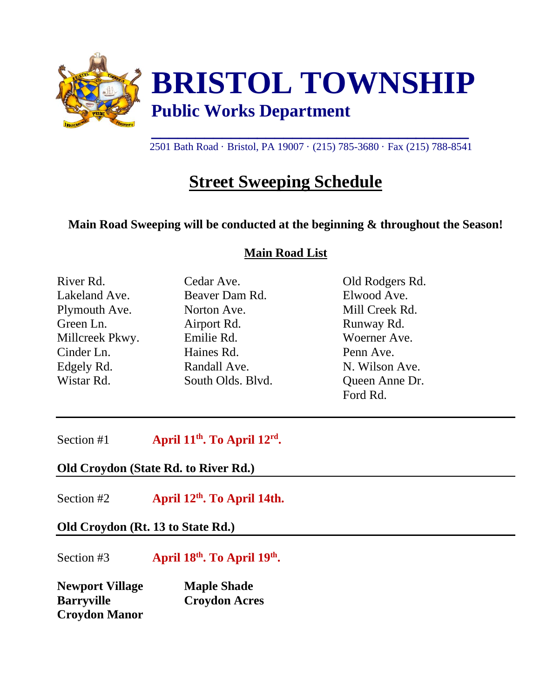

2501 Bath Road · Bristol, PA 19007 · (215) 785-3680 · Fax (215) 788-8541

## **Street Sweeping Schedule**

## **Main Road Sweeping will be conducted at the beginning & throughout the Season!**

#### **Main Road List**

| River Rd.       | Cedar Ave.        | Old Rodgers Rd. |
|-----------------|-------------------|-----------------|
| Lakeland Ave.   | Beaver Dam Rd.    | Elwood Ave.     |
| Plymouth Ave.   | Norton Ave.       | Mill Creek Rd.  |
| Green Ln.       | Airport Rd.       | Runway Rd.      |
| Millcreek Pkwy. | Emilie Rd.        | Woerner Ave.    |
| Cinder Ln.      | Haines Rd.        | Penn Ave.       |
| Edgely Rd.      | Randall Ave.      | N. Wilson Ave.  |
| Wistar Rd.      | South Olds. Blvd. | Queen Anne Dr.  |
|                 |                   | Ford Rd.        |

Section #1 **th. To April 12rd .**

### **Old Croydon (State Rd. to River Rd.)**

Section #2 **th. To April 14th.**

**Old Croydon (Rt. 13 to State Rd.)**

Section #3 **April 18th. To April 19th . Newport Village Maple Shade Barryville Croydon Acres Croydon Manor**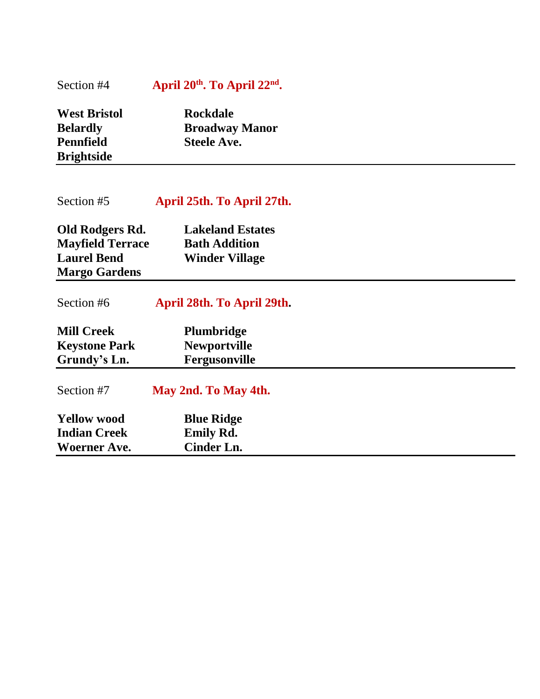#### Section #4 **April 20<sup>th</sup>. To April 22<sup>nd</sup>.**

| <b>West Bristol</b> | <b>Rockdale</b>       |
|---------------------|-----------------------|
| <b>Belardly</b>     | <b>Broadway Manor</b> |
| <b>Pennfield</b>    | <b>Steele Ave.</b>    |
| <b>Brightside</b>   |                       |

## Section #5 **April 25th. To April 27th.**

| Old Rodgers Rd.         | <b>Lakeland Estates</b> |
|-------------------------|-------------------------|
| <b>Mayfield Terrace</b> | <b>Bath Addition</b>    |
| <b>Laurel Bend</b>      | <b>Winder Village</b>   |
| <b>Margo Gardens</b>    |                         |

# Section #6 **April 28th. To April 29th.**

| <b>Mill Creek</b>    | <b>Plumbridge</b>   |
|----------------------|---------------------|
| <b>Keystone Park</b> | <b>Newportville</b> |
| Grundy's Ln.         | Fergusonville       |

| Section #7                                | May 2nd. To May 4th.                  |  |
|-------------------------------------------|---------------------------------------|--|
| <b>Yellow wood</b><br><b>Indian Creek</b> | <b>Blue Ridge</b><br><b>Emily Rd.</b> |  |
| <b>Woerner Ave.</b>                       | Cinder Ln.                            |  |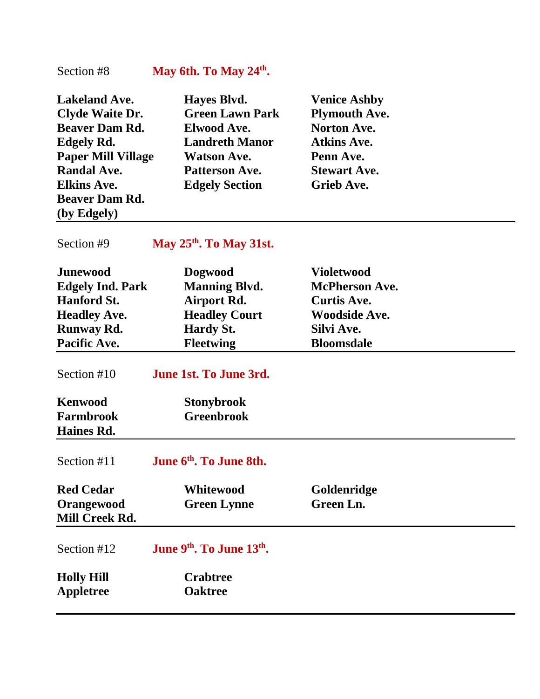#### Section #8 **May 6th. To May 24th .**

| <b>Lakeland Ave.</b>      | Hayes Blvd.            | <b>Venice Ashby</b>  |
|---------------------------|------------------------|----------------------|
| <b>Clyde Waite Dr.</b>    | <b>Green Lawn Park</b> | <b>Plymouth Ave.</b> |
| <b>Beaver Dam Rd.</b>     | <b>Elwood Ave.</b>     | <b>Norton Ave.</b>   |
| <b>Edgely Rd.</b>         | <b>Landreth Manor</b>  | <b>Atkins Ave.</b>   |
| <b>Paper Mill Village</b> | <b>Watson Ave.</b>     | Penn Ave.            |
| <b>Randal Ave.</b>        | <b>Patterson Ave.</b>  | <b>Stewart Ave.</b>  |
| <b>Elkins Ave.</b>        | <b>Edgely Section</b>  | <b>Grieb Ave.</b>    |
| <b>Beaver Dam Rd.</b>     |                        |                      |
| (by Edgely)               |                        |                      |

Section #9

**. To May 31st.**

| <b>Junewood</b>                                  | <b>Dogwood</b>                                    | <b>Violetwood</b>        |  |
|--------------------------------------------------|---------------------------------------------------|--------------------------|--|
| <b>Edgely Ind. Park</b>                          | <b>Manning Blvd.</b>                              | <b>McPherson Ave.</b>    |  |
| <b>Hanford St.</b>                               | Airport Rd.                                       | <b>Curtis Ave.</b>       |  |
| <b>Headley Ave.</b>                              | <b>Headley Court</b>                              | <b>Woodside Ave.</b>     |  |
| <b>Runway Rd.</b>                                | <b>Hardy St.</b>                                  | Silvi Ave.               |  |
| Pacific Ave.                                     | <b>Fleetwing</b>                                  | <b>Bloomsdale</b>        |  |
| Section #10                                      | June 1st. To June 3rd.                            |                          |  |
| <b>Kenwood</b>                                   | <b>Stonybrook</b>                                 |                          |  |
| <b>Farmbrook</b>                                 | <b>Greenbrook</b>                                 |                          |  |
| Haines Rd.                                       |                                                   |                          |  |
|                                                  |                                                   |                          |  |
| Section #11                                      | June 6 <sup>th</sup> . To June 8th.               |                          |  |
| <b>Red Cedar</b><br>Orangewood<br>Mill Creek Rd. | <b>Whitewood</b><br><b>Green Lynne</b>            | Goldenridge<br>Green Ln. |  |
| Section #12                                      | June 9 <sup>th</sup> . To June 13 <sup>th</sup> . |                          |  |
| <b>Holly Hill</b>                                | <b>Crabtree</b>                                   |                          |  |
| Appletree                                        | <b>Oaktree</b>                                    |                          |  |
|                                                  |                                                   |                          |  |